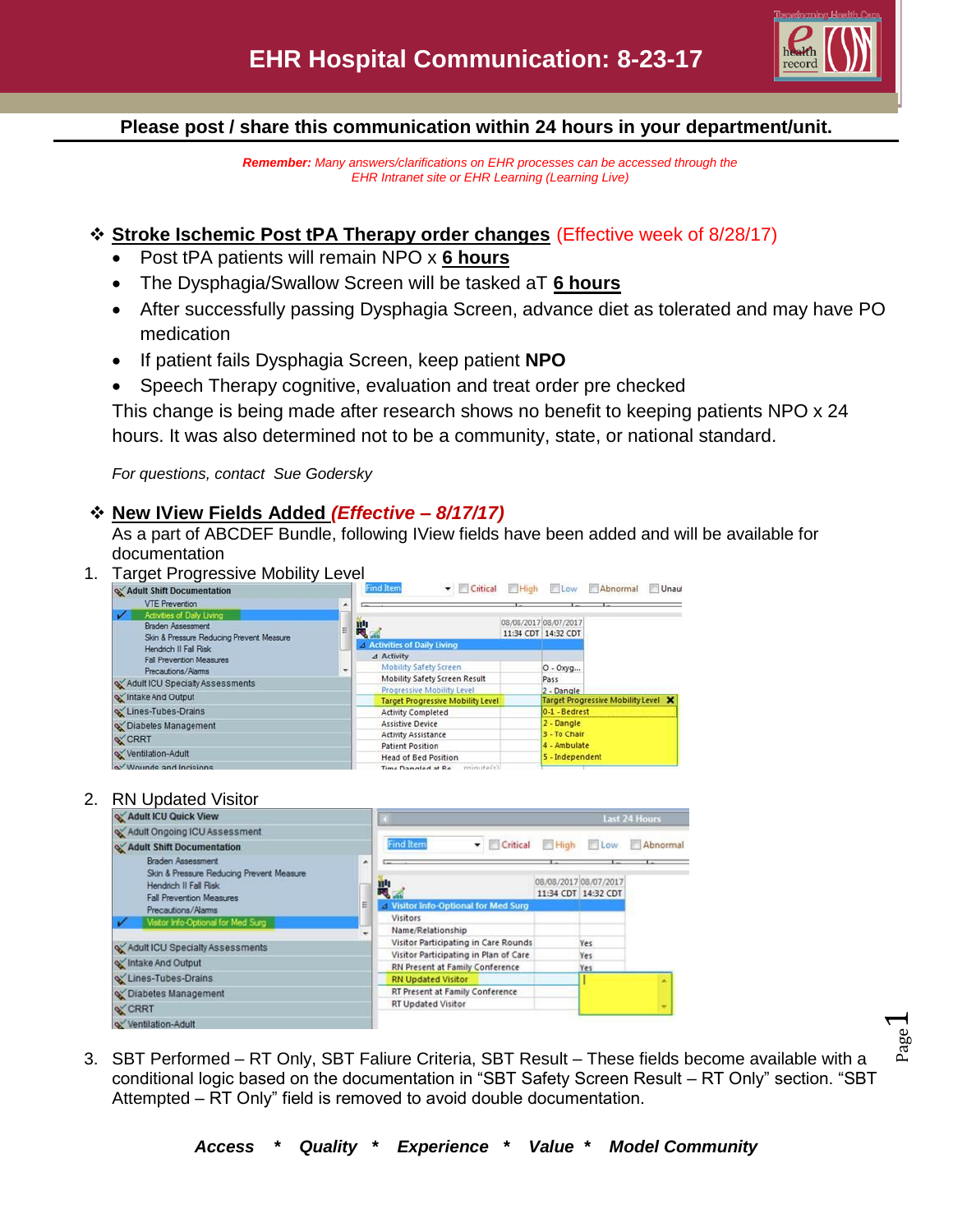

Page  $\overline{\phantom{0}}$ 

## **Please post / share this communication within 24 hours in your department/unit.**

*Remember: Many answers/clarifications on EHR processes can be accessed through the EHR Intranet site or EHR Learning (Learning Live)*

## **Stroke Ischemic Post tPA Therapy order changes** (Effective week of 8/28/17)

- Post tPA patients will remain NPO x **6 hours**
- The Dysphagia/Swallow Screen will be tasked aT **6 hours**
- After successfully passing Dysphagia Screen, advance diet as tolerated and may have PO medication
- If patient fails Dysphagia Screen, keep patient **NPO**
- Speech Therapy cognitive, evaluation and treat order pre checked

This change is being made after research shows no benefit to keeping patients NPO x 24 hours. It was also determined not to be a community, state, or national standard.

*For questions, contact Sue Godersky* 

## **New IView Fields Added** *(Effective – 8/17/17)*

As a part of ABCDEF Bundle, following IView fields have been added and will be available for documentation

1. Target Progressive Mobility Level



## 2. RN Updated Visitor



3. SBT Performed – RT Only, SBT Faliure Criteria, SBT Result – These fields become available with a conditional logic based on the documentation in "SBT Safety Screen Result – RT Only" section. "SBT Attempted – RT Only" field is removed to avoid double documentation.